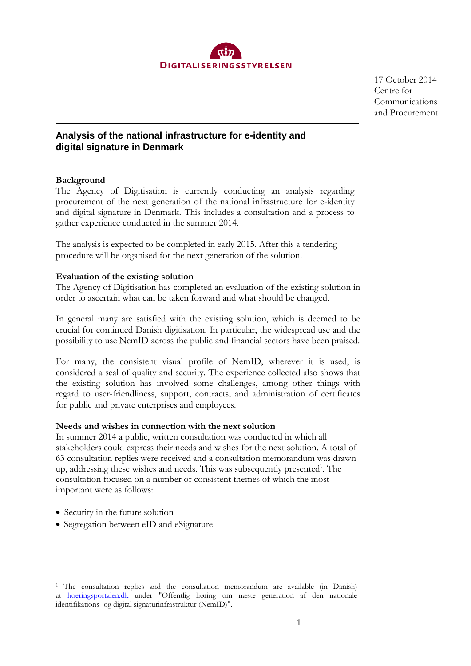

17 October 2014 Centre for Communications and Procurement

# **Analysis of the national infrastructure for e-identity and digital signature in Denmark**

## **Background**

The Agency of Digitisation is currently conducting an analysis regarding procurement of the next generation of the national infrastructure for e-identity and digital signature in Denmark. This includes a consultation and a process to gather experience conducted in the summer 2014.

The analysis is expected to be completed in early 2015. After this a tendering procedure will be organised for the next generation of the solution.

#### **Evaluation of the existing solution**

The Agency of Digitisation has completed an evaluation of the existing solution in order to ascertain what can be taken forward and what should be changed.

In general many are satisfied with the existing solution, which is deemed to be crucial for continued Danish digitisation. In particular, the widespread use and the possibility to use NemID across the public and financial sectors have been praised.

For many, the consistent visual profile of NemID, wherever it is used, is considered a seal of quality and security. The experience collected also shows that the existing solution has involved some challenges, among other things with regard to user-friendliness, support, contracts, and administration of certificates for public and private enterprises and employees.

#### **Needs and wishes in connection with the next solution**

In summer 2014 a public, written consultation was conducted in which all stakeholders could express their needs and wishes for the next solution. A total of 63 consultation replies were received and a consultation memorandum was drawn up, addressing these wishes and needs. This was subsequently presented<sup>1</sup>. The consultation focused on a number of consistent themes of which the most important were as follows:

- Security in the future solution
- Segregation between eID and eSignature

<sup>1</sup> The consultation replies and the consultation memorandum are available (in Danish) at [hoeringsportalen.dk](http://hoeringsportalen.dk/) under "Offentlig høring om næste generation af den nationale identifikations- og digital signaturinfrastruktur (NemID)".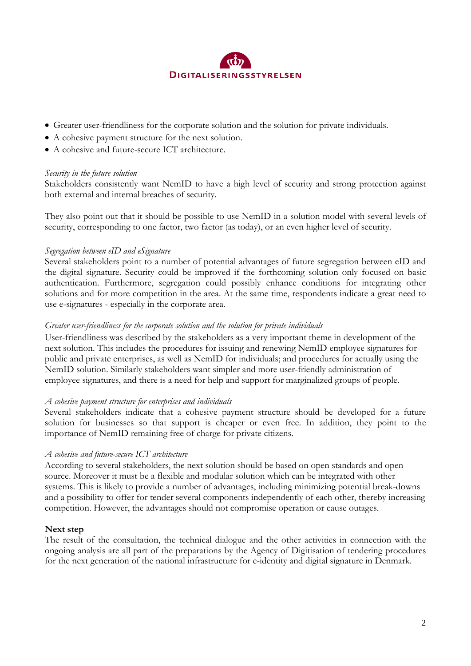

- Greater user-friendliness for the corporate solution and the solution for private individuals.
- A cohesive payment structure for the next solution.
- A cohesive and future-secure ICT architecture.

#### *Security in the future solution*

Stakeholders consistently want NemID to have a high level of security and strong protection against both external and internal breaches of security.

They also point out that it should be possible to use NemID in a solution model with several levels of security, corresponding to one factor, two factor (as today), or an even higher level of security.

#### *Segregation between eID and eSignature*

Several stakeholders point to a number of potential advantages of future segregation between eID and the digital signature. Security could be improved if the forthcoming solution only focused on basic authentication. Furthermore, segregation could possibly enhance conditions for integrating other solutions and for more competition in the area. At the same time, respondents indicate a great need to use e-signatures - especially in the corporate area.

#### *Greater user-friendliness for the corporate solution and the solution for private individuals*

User-friendliness was described by the stakeholders as a very important theme in development of the next solution. This includes the procedures for issuing and renewing NemID employee signatures for public and private enterprises, as well as NemID for individuals; and procedures for actually using the NemID solution. Similarly stakeholders want simpler and more user-friendly administration of employee signatures, and there is a need for help and support for marginalized groups of people.

## *A cohesive payment structure for enterprises and individuals*

Several stakeholders indicate that a cohesive payment structure should be developed for a future solution for businesses so that support is cheaper or even free. In addition, they point to the importance of NemID remaining free of charge for private citizens.

## *A cohesive and future-secure ICT architecture*

According to several stakeholders, the next solution should be based on open standards and open source. Moreover it must be a flexible and modular solution which can be integrated with other systems. This is likely to provide a number of advantages, including minimizing potential break-downs and a possibility to offer for tender several components independently of each other, thereby increasing competition. However, the advantages should not compromise operation or cause outages.

## **Next step**

The result of the consultation, the technical dialogue and the other activities in connection with the ongoing analysis are all part of the preparations by the Agency of Digitisation of tendering procedures for the next generation of the national infrastructure for e-identity and digital signature in Denmark.